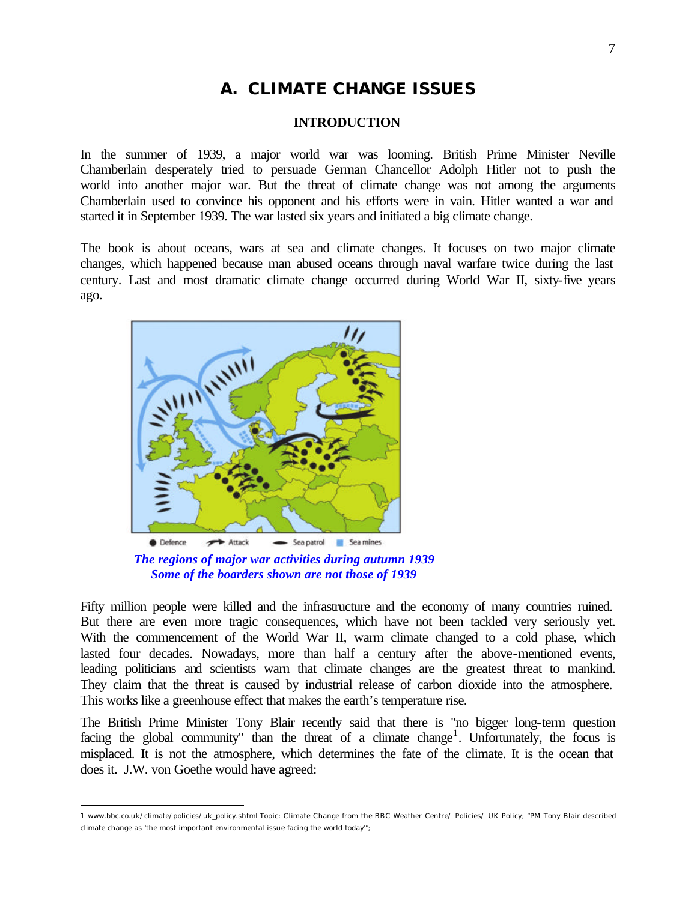## **A. CLIMATE CHANGE ISSUES**

## **INTRODUCTION**

In the summer of 1939, a major world war was looming. British Prime Minister Neville Chamberlain desperately tried to persuade German Chancellor Adolph Hitler not to push the world into another major war. But the threat of climate change was not among the arguments Chamberlain used to convince his opponent and his efforts were in vain. Hitler wanted a war and started it in September 1939. The war lasted six years and initiated a big climate change.

The book is about oceans, wars at sea and climate changes. It focuses on two major climate changes, which happened because man abused oceans through naval warfare twice during the last century. Last and most dramatic climate change occurred during World War II, sixty-five years ago.



*The regions of major war activities during autumn 1939 Some of the boarders shown are not those of 1939*

Fifty million people were killed and the infrastructure and the economy of many countries ruined. But there are even more tragic consequences, which have not been tackled very seriously yet. With the commencement of the World War II, warm climate changed to a cold phase, which lasted four decades. Nowadays, more than half a century after the above-mentioned events, leading politicians and scientists warn that climate changes are the greatest threat to mankind. They claim that the threat is caused by industrial release of carbon dioxide into the atmosphere. This works like a greenhouse effect that makes the earth's temperature rise.

The British Prime Minister Tony Blair recently said that there is "no bigger long-term question facing the global community" than the threat of a climate change<sup>1</sup>. Unfortunately, the focus is misplaced. It is not the atmosphere, which determines the fate of the climate. It is the ocean that does it. J.W. von Goethe would have agreed:

 1 www.bbc.co.uk/climate/policies/uk\_policy.shtml Topic: Climate Change from the BBC Weather Centre/ Policies/ UK Policy; "PM Tony Blair described climate change as 'the most important environmental issue facing the world today'";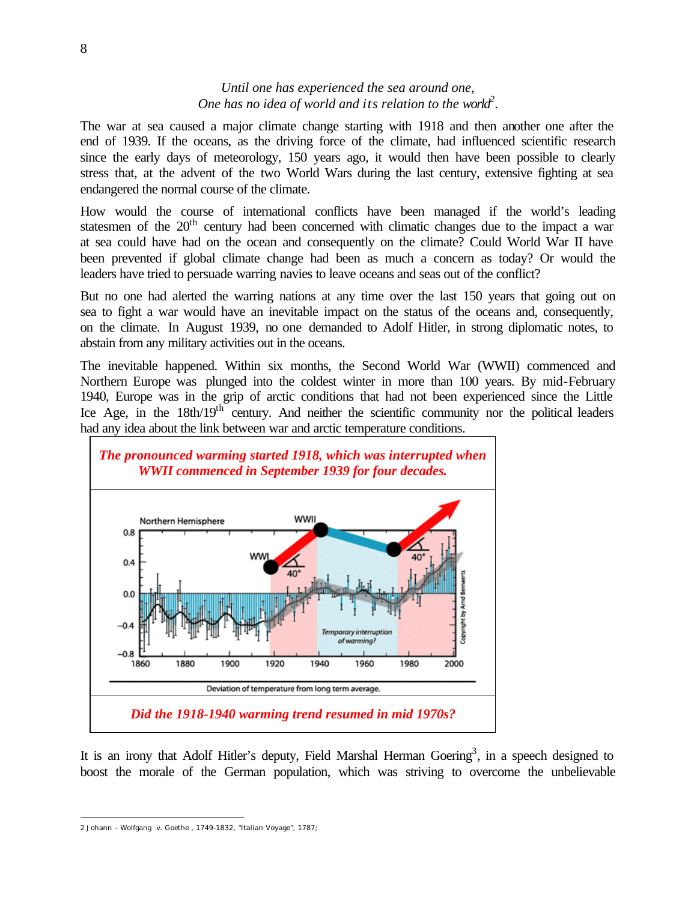## *Until one has experienced the sea around one, One has no idea of world and its relation to the world<sup>2</sup> .*

The war at sea caused a major climate change starting with 1918 and then another one after the end of 1939. If the oceans, as the driving force of the climate, had influenced scientific research since the early days of meteorology, 150 years ago, it would then have been possible to clearly stress that, at the advent of the two World Wars during the last century, extensive fighting at sea endangered the normal course of the climate.

How would the course of international conflicts have been managed if the world's leading statesmen of the  $20<sup>th</sup>$  century had been concerned with climatic changes due to the impact a war at sea could have had on the ocean and consequently on the climate? Could World War II have been prevented if global climate change had been as much a concern as today? Or would the leaders have tried to persuade warring navies to leave oceans and seas out of the conflict?

But no one had alerted the warring nations at any time over the last 150 years that going out on sea to fight a war would have an inevitable impact on the status of the oceans and, consequently, on the climate. In August 1939, no one demanded to Adolf Hitler, in strong diplomatic notes, to abstain from any military activities out in the oceans.

The inevitable happened. Within six months, the Second World War (WWII) commenced and Northern Europe was plunged into the coldest winter in more than 100 years. By mid-February 1940, Europe was in the grip of arctic conditions that had not been experienced since the Little Ice Age, in the 18th/19<sup>th</sup> century. And neither the scientific community nor the political leaders had any idea about the link between war and arctic temperature conditions.



It is an irony that Adolf Hitler's deputy, Field Marshal Herman Goering<sup>3</sup>, in a speech designed to boost the morale of the German population, which was striving to overcome the unbelievable

 $\overline{a}$ 2 Johann - Wolfgang v. Goethe , 1749-1832, "Italian Voyage", 1787;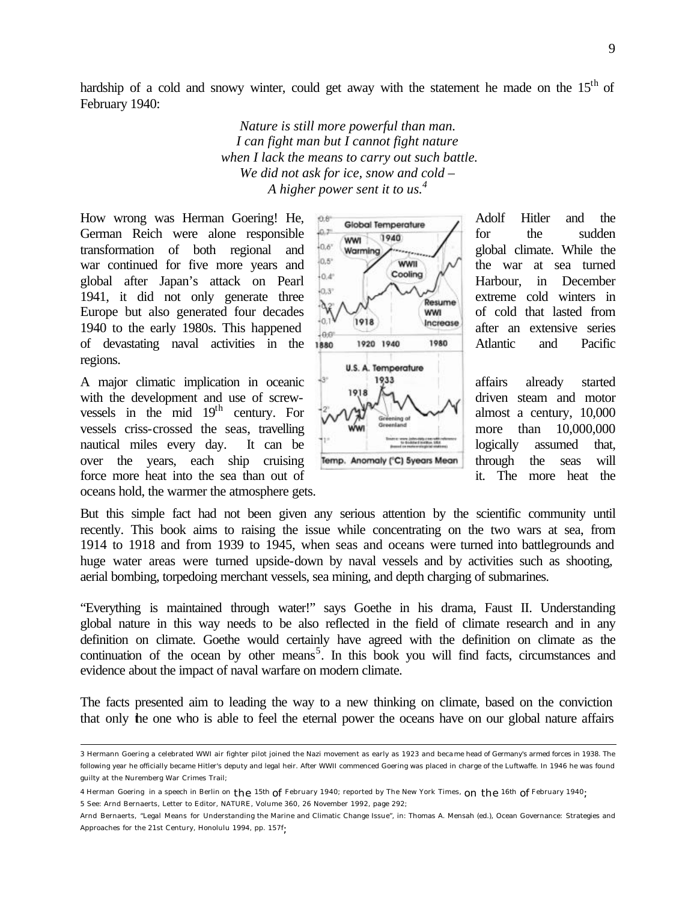hardship of a cold and snowy winter, could get away with the statement he made on the  $15<sup>th</sup>$  of February 1940:

> *Nature is still more powerful than man. I can fight man but I cannot fight nature when I lack the means to carry out such battle. We did not ask for ice, snow and cold – A higher power sent it to us.<sup>4</sup>*

How wrong was Herman Goering! He,  $\beta$  Global Temperature Adolf Hitler and the German Reich were alone responsible  $\frac{10.7}{200}$  (www. 1940) for the sudden transformation of both regional and  $\frac{10.6^{\circ}}{0.6^{\circ}}$  worming global climate. While the war continued for five more years and  $\begin{bmatrix} 0.5^{\circ} \\ 0.4^{\circ} \end{bmatrix}$  www. the war at sea turned global after Japan's attack on Pearl  $\begin{bmatrix} 0.4^{\circ} \\ 0.3^{\circ} \end{bmatrix}$  Harbour, in December 1941, it did not only generate three  $\frac{1}{2}$  extreme cold winters in Europe but also generated four decades  $\sqrt{\frac{1}{1918}}$  (www. of cold that lasted from 1940 to the early 1980s. This happened after an extensive series of devastating naval activities in the 1880 1920 1940 1980 | Atlantic and Pacific regions.

A major climatic implication in oceanic  $\frac{1933}{1918}$  affairs already started with the development and use of screw-  $\mathbb{R}$   $\Lambda$   $\Lambda$  driven steam and motor vessels in the mid 19<sup>th</sup> century. For  $\left[\sqrt[2]{\sqrt{3}}\right]$  almost a century, 10,000 vessels criss-crossed the seas, travelling more than 10,000,000 nautical miles every day. It can be logically assumed that, over the years, each ship cruising Temp Anomaly (°C) syears Mean through the seas will force more heat into the sea than out of it. The more heat the oceans hold, the warmer the atmosphere gets.

 $\overline{a}$ 

U.S. A. Temperature

But this simple fact had not been given any serious attention by the scientific community until recently. This book aims to raising the issue while concentrating on the two wars at sea, from 1914 to 1918 and from 1939 to 1945, when seas and oceans were turned into battlegrounds and huge water areas were turned upside-down by naval vessels and by activities such as shooting, aerial bombing, torpedoing merchant vessels, sea mining, and depth charging of submarines.

"Everything is maintained through water!" says Goethe in his drama, Faust II. Understanding global nature in this way needs to be also reflected in the field of climate research and in any definition on climate. Goethe would certainly have agreed with the definition on climate as the continuation of the ocean by other means<sup>5</sup>. In this book you will find facts, circumstances and evidence about the impact of naval warfare on modern climate.

The facts presented aim to leading the way to a new thinking on climate, based on the conviction that only the one who is able to feel the eternal power the oceans have on our global nature affairs



<sup>3</sup> Hermann Goering a celebrated WWI air fighter pilot joined the Nazi movement as early as 1923 and became head of Germany's armed forces in 1938. The following year he officially became Hitler's deputy and legal heir. After WWII commenced Goering was placed in charge of the Luftwaffe. In 1946 he was found guilty at the Nuremberg War Crimes Trail;

<sup>4</sup> Herman Goering in a speech in Berlin on the 15th of February 1940; reported by The New York Times, on the 16th of February 1940;

<sup>5</sup> See: Arnd Bernaerts, Letter to Editor, NATURE, Volume 360, 26 November 1992, page 292;

Arnd Bernaerts, "Legal Means for Understanding the Marine and Climatic Change Issue", in: Thomas A. Mensah (ed.), Ocean Governance: Strategies and Approaches for the 21st Century, Honolulu 1994, pp. 157f;